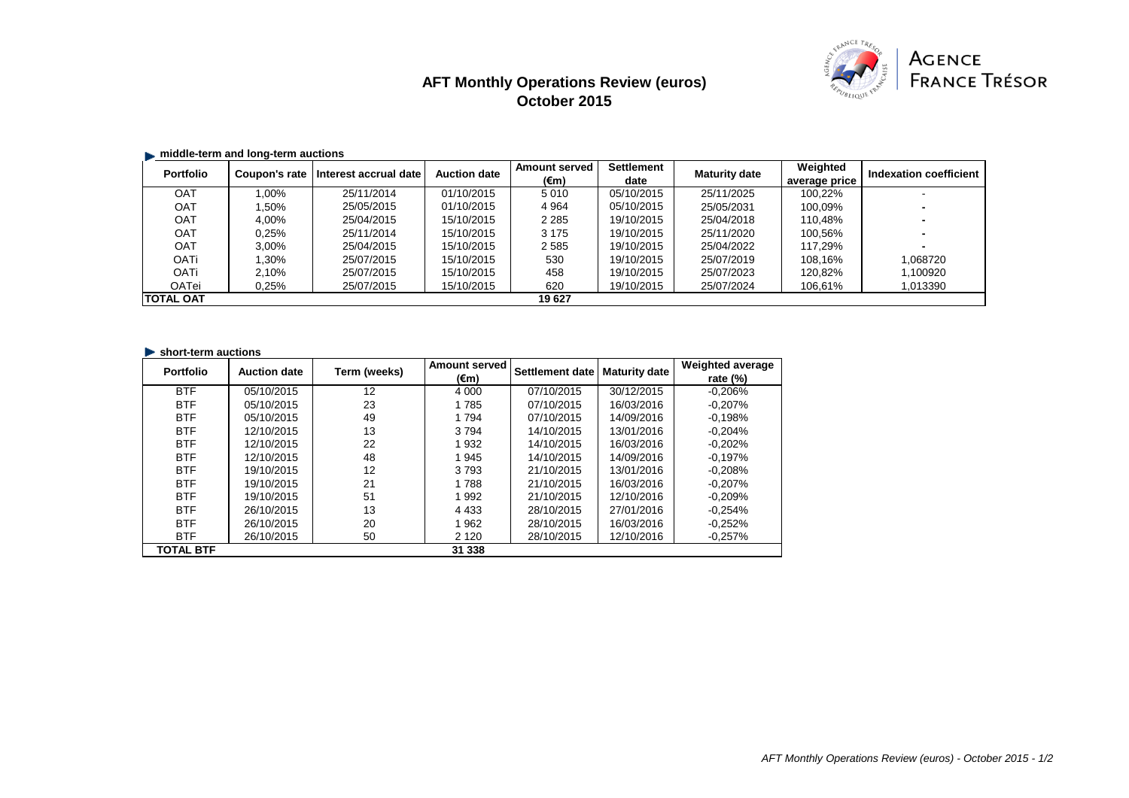# **AFT Monthly Operations Review (euros) October 2015**



# **E.** middle-term and long-term auctions

| <b>Portfolio</b>  | $\sim$<br>Coupon's rate | Interest accrual date | <b>Auction date</b> | <b>Amount served</b> | <b>Settlement</b> | <b>Maturity date</b> | Weighted      | Indexation coefficient |
|-------------------|-------------------------|-----------------------|---------------------|----------------------|-------------------|----------------------|---------------|------------------------|
|                   |                         |                       |                     | (€m)                 | date              |                      | average price |                        |
| <b>OAT</b>        | $1.00\%$                | 25/11/2014            | 01/10/2015          | 5010                 | 05/10/2015        | 25/11/2025           | 100.22%       |                        |
| <b>OAT</b>        | .50%                    | 25/05/2015            | 01/10/2015          | 4 9 64               | 05/10/2015        | 25/05/2031           | 100.09%       |                        |
| OAT               | 4.00%                   | 25/04/2015            | 15/10/2015          | 2 2 8 5              | 19/10/2015        | 25/04/2018           | 110.48%       |                        |
| <b>OAT</b>        | 0.25%                   | 25/11/2014            | 15/10/2015          | 3 1 7 5              | 19/10/2015        | 25/11/2020           | 100.56%       |                        |
| OAT               | 3.00%                   | 25/04/2015            | 15/10/2015          | 2585                 | 19/10/2015        | 25/04/2022           | 117.29%       |                        |
| <b>OATi</b>       | $.30\%$                 | 25/07/2015            | 15/10/2015          | 530                  | 19/10/2015        | 25/07/2019           | 108.16%       | 1,068720               |
| OATi              | 2.10%                   | 25/07/2015            | 15/10/2015          | 458                  | 19/10/2015        | 25/07/2023           | 120.82%       | 1,100920               |
| OATei             | 0.25%                   | 25/07/2015            | 15/10/2015          | 620                  | 19/10/2015        | 25/07/2024           | 106,61%       | 1,013390               |
| <b>ITOTAL OAT</b> |                         |                       |                     | 19 627               |                   |                      |               |                        |

#### **In short-term auctions**

| <b>Portfolio</b> | <b>Auction date</b> | Term (weeks) | <b>Amount served</b> | Settlement date | <b>Maturity date</b> | <b>Weighted average</b> |
|------------------|---------------------|--------------|----------------------|-----------------|----------------------|-------------------------|
|                  |                     |              | (€m)                 |                 |                      | rate $(\%)$             |
| <b>BTF</b>       | 05/10/2015          | 12           | 4 0 0 0              | 07/10/2015      | 30/12/2015           | $-0.206%$               |
| <b>BTF</b>       | 05/10/2015          | 23           | 1785                 | 07/10/2015      | 16/03/2016           | $-0.207%$               |
| <b>BTF</b>       | 05/10/2015          | 49           | 1 7 9 4              | 07/10/2015      | 14/09/2016           | $-0.198%$               |
| <b>BTF</b>       | 12/10/2015          | 13           | 3794                 | 14/10/2015      | 13/01/2016           | $-0.204%$               |
| <b>BTF</b>       | 12/10/2015          | 22           | 1 9 3 2              | 14/10/2015      | 16/03/2016           | $-0.202%$               |
| <b>BTF</b>       | 12/10/2015          | 48           | 1945                 | 14/10/2015      | 14/09/2016           | $-0.197%$               |
| <b>BTF</b>       | 19/10/2015          | 12           | 3793                 | 21/10/2015      | 13/01/2016           | $-0.208%$               |
| <b>BTF</b>       | 19/10/2015          | 21           | 1788                 | 21/10/2015      | 16/03/2016           | $-0.207%$               |
| <b>BTF</b>       | 19/10/2015          | 51           | 1 9 9 2              | 21/10/2015      | 12/10/2016           | $-0.209%$               |
| <b>BTF</b>       | 26/10/2015          | 13           | 4 4 3 3              | 28/10/2015      | 27/01/2016           | $-0.254%$               |
| <b>BTF</b>       | 26/10/2015          | 20           | 1 962                | 28/10/2015      | 16/03/2016           | $-0.252%$               |
| <b>BTF</b>       | 26/10/2015          | 50           | 2 1 2 0              | 28/10/2015      | 12/10/2016           | $-0.257%$               |
| <b>TOTAL BTF</b> |                     |              | 31 338               |                 |                      |                         |